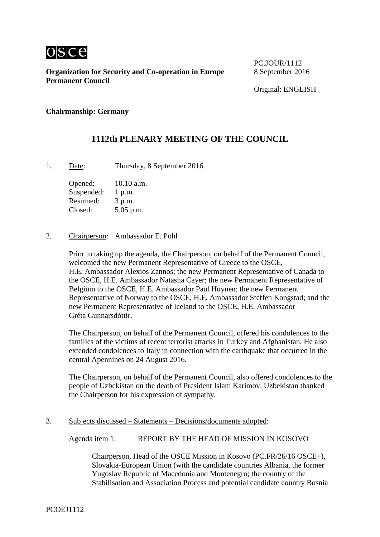

**Organization for Security and Co-operation in Europe** 8 September 2016 **Permanent Council**

PC.IOUR/1112

#### **Chairmanship: Germany**

## **1112th PLENARY MEETING OF THE COUNCIL**

1. Date: Thursday, 8 September 2016

Opened: 10.10 a.m. Suspended: 1 p.m. Resumed: 3 p.m. Closed: 5.05 p.m.

#### 2. Chairperson: Ambassador E. Pohl

Prior to taking up the agenda, the Chairperson, on behalf of the Permanent Council, welcomed the new Permanent Representative of Greece to the OSCE, H.E. Ambassador Alexios Zannos; the new Permanent Representative of Canada to the OSCE, H.E. Ambassador Natasha Cayer; the new Permanent Representative of Belgium to the OSCE, H.E. Ambassador Paul Huynen; the new Permanent Representative of Norway to the OSCE, H.E. Ambassador Steffen Kongstad; and the new Permanent Representative of Iceland to the OSCE, H.E. Ambassador Gréta Gunnarsdóttir.

The Chairperson, on behalf of the Permanent Council, offered his condolences to the families of the victims of recent terrorist attacks in Turkey and Afghanistan. He also extended condolences to Italy in connection with the earthquake that occurred in the central Apennines on 24 August 2016.

The Chairperson, on behalf of the Permanent Council, also offered condolences to the people of Uzbekistan on the death of President Islam Karimov. Uzbekistan thanked the Chairperson for his expression of sympathy.

#### 3. Subjects discussed – Statements – Decisions/documents adopted:

Agenda item 1: REPORT BY THE HEAD OF MISSION IN KOSOVO

Chairperson, Head of the OSCE Mission in Kosovo (PC.FR/26/16 OSCE+), Slovakia-European Union (with the candidate countries Albania, the former Yugoslav Republic of Macedonia and Montenegro; the country of the Stabilisation and Association Process and potential candidate country Bosnia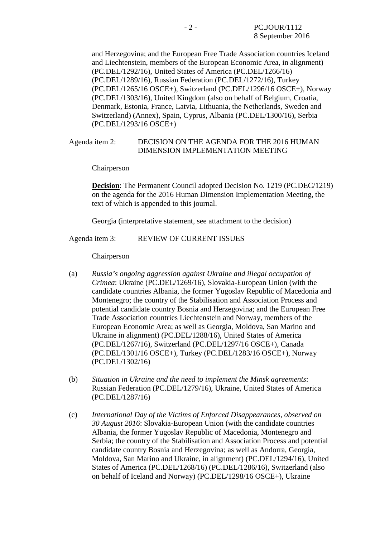and Herzegovina; and the European Free Trade Association countries Iceland and Liechtenstein, members of the European Economic Area, in alignment) (PC.DEL/1292/16), United States of America (PC.DEL/1266/16) (PC.DEL/1289/16), Russian Federation (PC.DEL/1272/16), Turkey (PC.DEL/1265/16 OSCE+), Switzerland (PC.DEL/1296/16 OSCE+), Norway (PC.DEL/1303/16), United Kingdom (also on behalf of Belgium, Croatia, Denmark, Estonia, France, Latvia, Lithuania, the Netherlands, Sweden and Switzerland) (Annex), Spain, Cyprus, Albania (PC.DEL/1300/16), Serbia (PC.DEL/1293/16 OSCE+)

#### Agenda item 2: DECISION ON THE AGENDA FOR THE 2016 HUMAN DIMENSION IMPLEMENTATION MEETING

Chairperson

**Decision**: The Permanent Council adopted Decision No. 1219 (PC.DEC/1219) on the agenda for the 2016 Human Dimension Implementation Meeting, the text of which is appended to this journal.

Georgia (interpretative statement, see attachment to the decision)

Agenda item 3: REVIEW OF CURRENT ISSUES

Chairperson

- (a) *Russia's ongoing aggression against Ukraine and illegal occupation of Crimea*: Ukraine (PC.DEL/1269/16), Slovakia-European Union (with the candidate countries Albania, the former Yugoslav Republic of Macedonia and Montenegro; the country of the Stabilisation and Association Process and potential candidate country Bosnia and Herzegovina; and the European Free Trade Association countries Liechtenstein and Norway, members of the European Economic Area; as well as Georgia, Moldova, San Marino and Ukraine in alignment) (PC.DEL/1288/16), United States of America (PC.DEL/1267/16), Switzerland (PC.DEL/1297/16 OSCE+), Canada (PC.DEL/1301/16 OSCE+), Turkey (PC.DEL/1283/16 OSCE+), Norway (PC.DEL/1302/16)
- (b) *Situation in Ukraine and the need to implement the Minsk agreements*: Russian Federation (PC.DEL/1279/16), Ukraine, United States of America (PC.DEL/1287/16)
- (c) *International Day of the Victims of Enforced Disappearances, observed on 30 August 2016*: Slovakia-European Union (with the candidate countries Albania, the former Yugoslav Republic of Macedonia, Montenegro and Serbia; the country of the Stabilisation and Association Process and potential candidate country Bosnia and Herzegovina; as well as Andorra, Georgia, Moldova, San Marino and Ukraine, in alignment) (PC.DEL/1294/16), United States of America (PC.DEL/1268/16) (PC.DEL/1286/16), Switzerland (also on behalf of Iceland and Norway) (PC.DEL/1298/16 OSCE+), Ukraine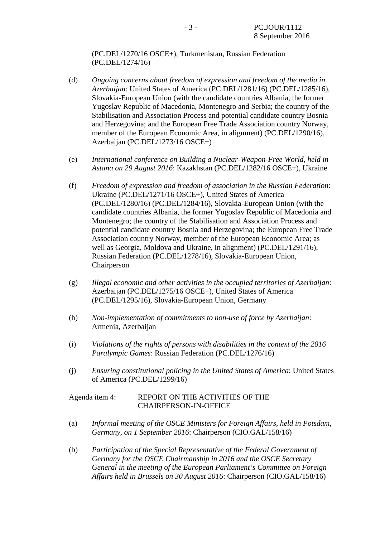(PC.DEL/1270/16 OSCE+), Turkmenistan, Russian Federation (PC.DEL/1274/16)

- (d) *Ongoing concerns about freedom of expression and freedom of the media in Azerbaijan*: United States of America (PC.DEL/1281/16) (PC.DEL/1285/16), Slovakia-European Union (with the candidate countries Albania, the former Yugoslav Republic of Macedonia, Montenegro and Serbia; the country of the Stabilisation and Association Process and potential candidate country Bosnia and Herzegovina; and the European Free Trade Association country Norway, member of the European Economic Area, in alignment) (PC.DEL/1290/16), Azerbaijan (PC.DEL/1273/16 OSCE+)
- (e) *International conference on Building a Nuclear-Weapon-Free World, held in Astana on 29 August 2016*: Kazakhstan (PC.DEL/1282/16 OSCE+), Ukraine
- (f) *Freedom of expression and freedom of association in the Russian Federation*: Ukraine (PC.DEL/1271/16 OSCE+), United States of America (PC.DEL/1280/16) (PC.DEL/1284/16), Slovakia-European Union (with the candidate countries Albania, the former Yugoslav Republic of Macedonia and Montenegro; the country of the Stabilisation and Association Process and potential candidate country Bosnia and Herzegovina; the European Free Trade Association country Norway, member of the European Economic Area; as well as Georgia, Moldova and Ukraine, in alignment) (PC.DEL/1291/16), Russian Federation (PC.DEL/1278/16), Slovakia-European Union, Chairperson
- (g) *Illegal economic and other activities in the occupied territories of Azerbaijan*: Azerbaijan (PC.DEL/1275/16 OSCE+), United States of America (PC.DEL/1295/16), Slovakia-European Union, Germany
- (h) *Non-implementation of commitments to non-use of force by Azerbaijan*: Armenia, Azerbaijan
- (i) *Violations of the rights of persons with disabilities in the context of the 2016 Paralympic Games*: Russian Federation (PC.DEL/1276/16)
- (j) *Ensuring constitutional policing in the United States of America*: United States of America (PC.DEL/1299/16)

#### Agenda item 4: REPORT ON THE ACTIVITIES OF THE CHAIRPERSON-IN-OFFICE

- (a) *Informal meeting of the OSCE Ministers for Foreign Affairs, held in Potsdam, Germany, on 1 September 2016*: Chairperson (CIO.GAL/158/16)
- (b) *Participation of the Special Representative of the Federal Government of Germany for the OSCE Chairmanship in 2016 and the OSCE Secretary General in the meeting of the European Parliament's Committee on Foreign Affairs held in Brussels on 30 August 2016*: Chairperson (CIO.GAL/158/16)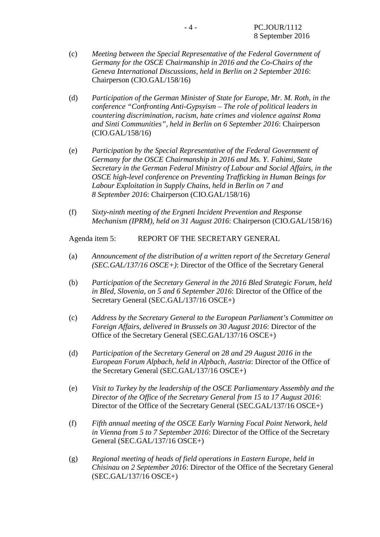- (c) *Meeting between the Special Representative of the Federal Government of Germany for the OSCE Chairmanship in 2016 and the Co-Chairs of the Geneva International Discussions, held in Berlin on 2 September 2016*: Chairperson (CIO.GAL/158/16)
- (d) *Participation of the German Minister of State for Europe, Mr. M. Roth, in the conference "Confronting Anti-Gypsyism – The role of political leaders in countering discrimination, racism, hate crimes and violence against Roma and Sinti Communities", held in Berlin on 6 September 2016*: Chairperson (CIO.GAL/158/16)
- (e) *Participation by the Special Representative of the Federal Government of Germany for the OSCE Chairmanship in 2016 and Ms. Y. Fahimi, State Secretary in the German Federal Ministry of Labour and Social Affairs, in the OSCE high-level conference on Preventing Trafficking in Human Beings for Labour Exploitation in Supply Chains, held in Berlin on 7 and 8 September 2016*: Chairperson (CIO.GAL/158/16)
- (f) *Sixty-ninth meeting of the Ergneti Incident Prevention and Response Mechanism (IPRM), held on 31 August 2016*: Chairperson (CIO.GAL/158/16)

Agenda item 5: REPORT OF THE SECRETARY GENERAL

- (a) *Announcement of the distribution of a written report of the Secretary General (SEC.GAL/137/16 OSCE+)*: Director of the Office of the Secretary General
- (b) *Participation of the Secretary General in the 2016 Bled Strategic Forum, held in Bled, Slovenia, on 5 and 6 September 2016*: Director of the Office of the Secretary General (SEC.GAL/137/16 OSCE+)
- (c) *Address by the Secretary General to the European Parliament's Committee on Foreign Affairs, delivered in Brussels on 30 August 2016*: Director of the Office of the Secretary General (SEC.GAL/137/16 OSCE+)
- (d) *Participation of the Secretary General on 28 and 29 August 2016 in the European Forum Alpbach, held in Alpbach, Austria*: Director of the Office of the Secretary General (SEC.GAL/137/16 OSCE+)
- (e) *Visit to Turkey by the leadership of the OSCE Parliamentary Assembly and the Director of the Office of the Secretary General from 15 to 17 August 2016*: Director of the Office of the Secretary General (SEC.GAL/137/16 OSCE+)
- (f) *Fifth annual meeting of the OSCE Early Warning Focal Point Network, held in Vienna from 5 to 7 September 2016*: Director of the Office of the Secretary General (SEC.GAL/137/16 OSCE+)
- (g) *Regional meeting of heads of field operations in Eastern Europe, held in Chisinau on 2 September 2016*: Director of the Office of the Secretary General (SEC.GAL/137/16 OSCE+)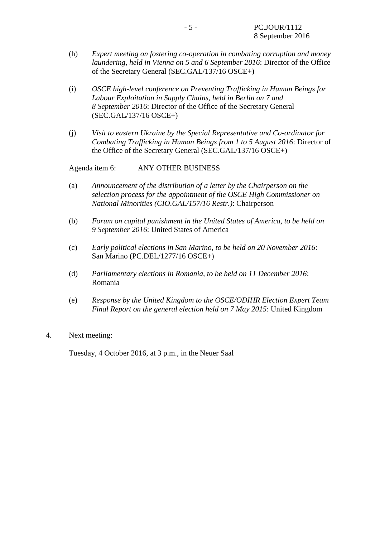- (h) *Expert meeting on fostering co-operation in combating corruption and money laundering, held in Vienna on 5 and 6 September 2016*: Director of the Office of the Secretary General (SEC.GAL/137/16 OSCE+)
- (i) *OSCE high-level conference on Preventing Trafficking in Human Beings for Labour Exploitation in Supply Chains, held in Berlin on 7 and 8 September 2016*: Director of the Office of the Secretary General (SEC.GAL/137/16 OSCE+)
- (j) *Visit to eastern Ukraine by the Special Representative and Co-ordinator for Combating Trafficking in Human Beings from 1 to 5 August 2016*: Director of the Office of the Secretary General (SEC.GAL/137/16 OSCE+)

Agenda item 6: ANY OTHER BUSINESS

- (a) *Announcement of the distribution of a letter by the Chairperson on the selection process for the appointment of the OSCE High Commissioner on National Minorities (CIO.GAL/157/16 Restr.)*: Chairperson
- (b) *Forum on capital punishment in the United States of America, to be held on 9 September 2016*: United States of America
- (c) *Early political elections in San Marino, to be held on 20 November 2016*: San Marino (PC.DEL/1277/16 OSCE+)
- (d) *Parliamentary elections in Romania, to be held on 11 December 2016*: Romania
- (e) *Response by the United Kingdom to the OSCE/ODIHR Election Expert Team Final Report on the general election held on 7 May 2015*: United Kingdom

#### 4. Next meeting:

Tuesday, 4 October 2016, at 3 p.m., in the Neuer Saal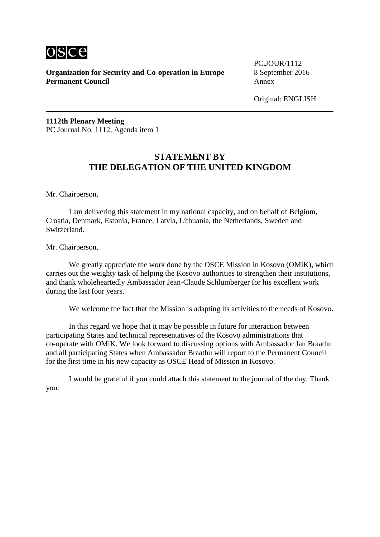

**Organization for Security and Co-operation in Europe** 8 September 2016<br>**Permanent Council** Annex **Permanent Council** 

PC.IOUR/1112

Original: ENGLISH

**1112th Plenary Meeting** PC Journal No. 1112, Agenda item 1

# **STATEMENT BY THE DELEGATION OF THE UNITED KINGDOM**

Mr. Chairperson,

I am delivering this statement in my national capacity, and on behalf of Belgium, Croatia, Denmark, Estonia, France, Latvia, Lithuania, the Netherlands, Sweden and Switzerland.

Mr. Chairperson,

We greatly appreciate the work done by the OSCE Mission in Kosovo (OMiK), which carries out the weighty task of helping the Kosovo authorities to strengthen their institutions, and thank wholeheartedly Ambassador Jean-Claude Schlumberger for his excellent work during the last four years.

We welcome the fact that the Mission is adapting its activities to the needs of Kosovo.

In this regard we hope that it may be possible in future for interaction between participating States and technical representatives of the Kosovo administrations that co-operate with OMiK. We look forward to discussing options with Ambassador Jan Braathu and all participating States when Ambassador Braathu will report to the Permanent Council for the first time in his new capacity as OSCE Head of Mission in Kosovo.

I would be grateful if you could attach this statement to the journal of the day. Thank you.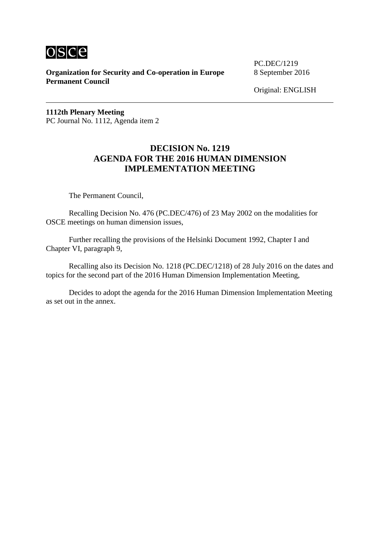

**Organization for Security and Co-operation in Europe** 8 September 2016 **Permanent Council**

PC.DEC/1219

Original: ENGLISH

**1112th Plenary Meeting** PC Journal No. 1112, Agenda item 2

# **DECISION No. 1219 AGENDA FOR THE 2016 HUMAN DIMENSION IMPLEMENTATION MEETING**

The Permanent Council,

Recalling Decision No. 476 (PC.DEC/476) of 23 May 2002 on the modalities for OSCE meetings on human dimension issues,

Further recalling the provisions of the Helsinki Document 1992, Chapter I and Chapter VI, paragraph 9,

Recalling also its Decision No. 1218 (PC.DEC/1218) of 28 July 2016 on the dates and topics for the second part of the 2016 Human Dimension Implementation Meeting,

Decides to adopt the agenda for the 2016 Human Dimension Implementation Meeting as set out in the annex.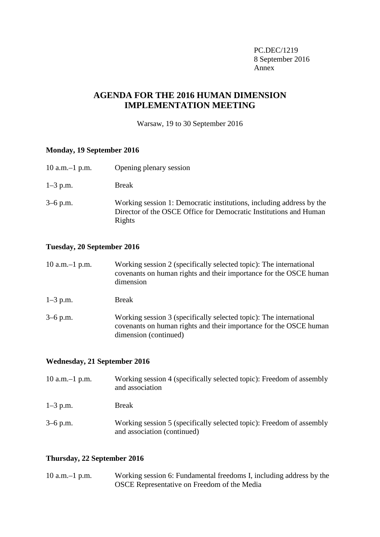PC.DEC/1219 8 September 2016 Annex

# **AGENDA FOR THE 2016 HUMAN DIMENSION IMPLEMENTATION MEETING**

Warsaw, 19 to 30 September 2016

#### **Monday, 19 September 2016**

| 10 a.m. $-1$ p.m. | Opening plenary session                                                                                                                             |
|-------------------|-----------------------------------------------------------------------------------------------------------------------------------------------------|
| $1-3$ p.m.        | <b>Break</b>                                                                                                                                        |
| $3-6$ p.m.        | Working session 1: Democratic institutions, including address by the<br>Director of the OSCE Office for Democratic Institutions and Human<br>Rights |

#### **Tuesday, 20 September 2016**

| $10$ a.m. $-1$ p.m. | Working session 2 (specifically selected topic): The international<br>covenants on human rights and their importance for the OSCE human<br>dimension             |
|---------------------|------------------------------------------------------------------------------------------------------------------------------------------------------------------|
| $1-3$ p.m.          | <b>Break</b>                                                                                                                                                     |
| $3-6$ p.m.          | Working session 3 (specifically selected topic): The international<br>covenants on human rights and their importance for the OSCE human<br>dimension (continued) |

### **Wednesday, 21 September 2016**

| 10 a.m. $-1$ p.m. | Working session 4 (specifically selected topic): Freedom of assembly<br>and association             |
|-------------------|-----------------------------------------------------------------------------------------------------|
| $1-3$ p.m.        | <b>Break</b>                                                                                        |
| $3-6$ p.m.        | Working session 5 (specifically selected topic): Freedom of assembly<br>and association (continued) |

### **Thursday, 22 September 2016**

| $10$ a.m. $-1$ p.m. | Working session 6: Fundamental freedoms I, including address by the |
|---------------------|---------------------------------------------------------------------|
|                     | OSCE Representative on Freedom of the Media                         |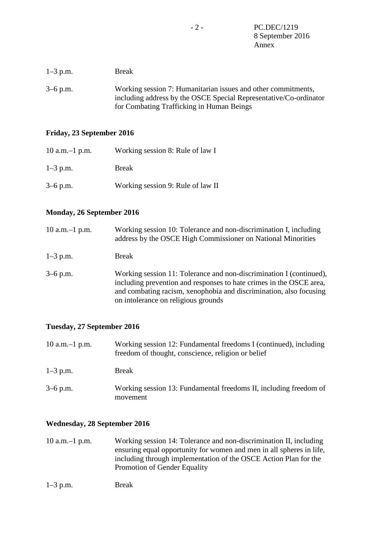| $1-3$ p.m. | <b>Break</b>                                                                                                                                                                    |
|------------|---------------------------------------------------------------------------------------------------------------------------------------------------------------------------------|
| $3-6$ p.m. | Working session 7: Humanitarian issues and other commitments,<br>including address by the OSCE Special Representative/Co-ordinator<br>for Combating Trafficking in Human Beings |

#### **Friday, 23 September 2016**

| 10 a.m. $-1$ p.m. | Working session 8: Rule of law I  |
|-------------------|-----------------------------------|
| $1-3$ p.m.        | <b>Break</b>                      |
| $3-6$ p.m.        | Working session 9: Rule of law II |

#### **Monday, 26 September 2016**

| 10 a.m. $-1$ p.m. | Working session 10: Tolerance and non-discrimination I, including<br>address by the OSCE High Commissioner on National Minorities                                                                                                                       |
|-------------------|---------------------------------------------------------------------------------------------------------------------------------------------------------------------------------------------------------------------------------------------------------|
| $1 - 3$ p.m.      | <b>Break</b>                                                                                                                                                                                                                                            |
| $3-6$ p.m.        | Working session 11: Tolerance and non-discrimination I (continued),<br>including prevention and responses to hate crimes in the OSCE area,<br>and combating racism, xenophobia and discrimination, also focusing<br>on intolerance on religious grounds |

### **Tuesday, 27 September 2016**

| 10 a.m. $-1$ p.m. | Working session 12: Fundamental freedoms I (continued), including<br>freedom of thought, conscience, religion or belief |
|-------------------|-------------------------------------------------------------------------------------------------------------------------|
| $1-3$ p.m.        | <b>Break</b>                                                                                                            |
| $3-6$ p.m.        | Working session 13: Fundamental freedoms II, including freedom of<br>movement                                           |

### **Wednesday, 28 September 2016**

10 a.m.–1 p.m. Working session 14: Tolerance and non-discrimination II, including ensuring equal opportunity for women and men in all spheres in life, including through implementation of the OSCE Action Plan for the Promotion of Gender Equality

| $1-3$ p.m. | <b>Break</b> |
|------------|--------------|
|            |              |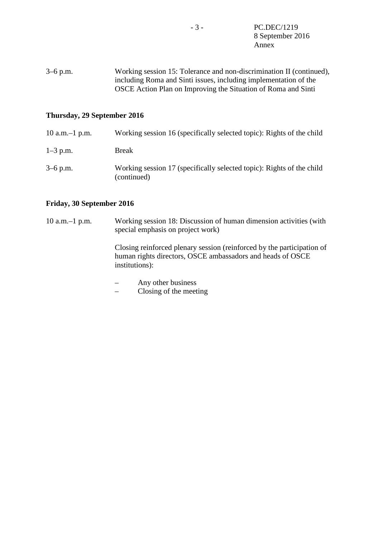3–6 p.m. Working session 15: Tolerance and non-discrimination II (continued), including Roma and Sinti issues, including implementation of the OSCE Action Plan on Improving the Situation of Roma and Sinti

#### **Thursday, 29 September 2016**

| 10 a.m. $-1$ p.m. | Working session 16 (specifically selected topic): Rights of the child                |
|-------------------|--------------------------------------------------------------------------------------|
| $1-3$ p.m.        | Break                                                                                |
| $3-6$ p.m.        | Working session 17 (specifically selected topic): Rights of the child<br>(continued) |

#### **Friday, 30 September 2016**

10 a.m.–1 p.m. Working session 18: Discussion of human dimension activities (with special emphasis on project work)

> Closing reinforced plenary session (reinforced by the participation of human rights directors, OSCE ambassadors and heads of OSCE institutions):

- Any other business
- Closing of the meeting